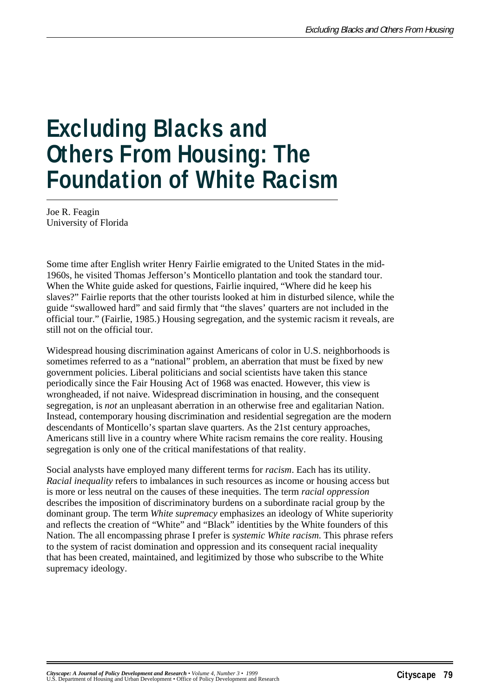# **Excluding Blacks and Others From Housing: The Foundation of White Racism**

Joe R. Feagin University of Florida

Some time after English writer Henry Fairlie emigrated to the United States in the mid-1960s, he visited Thomas Jefferson's Monticello plantation and took the standard tour. When the White guide asked for questions, Fairlie inquired, "Where did he keep his slaves?" Fairlie reports that the other tourists looked at him in disturbed silence, while the guide "swallowed hard" and said firmly that "the slaves' quarters are not included in the official tour." (Fairlie, 1985.) Housing segregation, and the systemic racism it reveals, are still not on the official tour.

Widespread housing discrimination against Americans of color in U.S. neighborhoods is sometimes referred to as a "national" problem, an aberration that must be fixed by new government policies. Liberal politicians and social scientists have taken this stance periodically since the Fair Housing Act of 1968 was enacted. However, this view is wrongheaded, if not naive. Widespread discrimination in housing, and the consequent segregation, is *not* an unpleasant aberration in an otherwise free and egalitarian Nation. Instead, contemporary housing discrimination and residential segregation are the modern descendants of Monticello's spartan slave quarters. As the 21st century approaches, Americans still live in a country where White racism remains the core reality. Housing segregation is only one of the critical manifestations of that reality.

Social analysts have employed many different terms for *racism*. Each has its utility. *Racial inequality* refers to imbalances in such resources as income or housing access but is more or less neutral on the causes of these inequities. The term *racial oppression* describes the imposition of discriminatory burdens on a subordinate racial group by the dominant group. The term *White supremacy* emphasizes an ideology of White superiority and reflects the creation of "White" and "Black" identities by the White founders of this Nation. The all encompassing phrase I prefer is *systemic White racism*. This phrase refers to the system of racist domination and oppression and its consequent racial inequality that has been created, maintained, and legitimized by those who subscribe to the White supremacy ideology.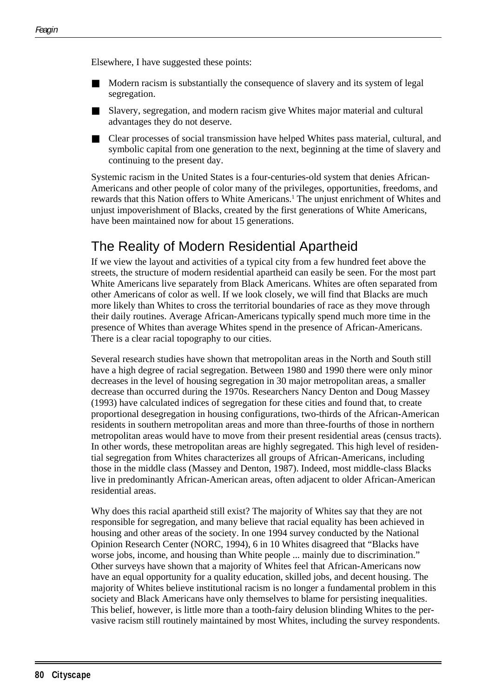Elsewhere, I have suggested these points:

- Modern racism is substantially the consequence of slavery and its system of legal segregation.
- Slavery, segregation, and modern racism give Whites major material and cultural advantages they do not deserve.
- Clear processes of social transmission have helped Whites pass material, cultural, and symbolic capital from one generation to the next, beginning at the time of slavery and continuing to the present day.

Systemic racism in the United States is a four-centuries-old system that denies African-Americans and other people of color many of the privileges, opportunities, freedoms, and rewards that this Nation offers to White Americans.<sup>1</sup> The unjust enrichment of Whites and unjust impoverishment of Blacks, created by the first generations of White Americans, have been maintained now for about 15 generations.

# The Reality of Modern Residential Apartheid

If we view the layout and activities of a typical city from a few hundred feet above the streets, the structure of modern residential apartheid can easily be seen. For the most part White Americans live separately from Black Americans. Whites are often separated from other Americans of color as well. If we look closely, we will find that Blacks are much more likely than Whites to cross the territorial boundaries of race as they move through their daily routines. Average African-Americans typically spend much more time in the presence of Whites than average Whites spend in the presence of African-Americans. There is a clear racial topography to our cities.

Several research studies have shown that metropolitan areas in the North and South still have a high degree of racial segregation. Between 1980 and 1990 there were only minor decreases in the level of housing segregation in 30 major metropolitan areas, a smaller decrease than occurred during the 1970s. Researchers Nancy Denton and Doug Massey (1993) have calculated indices of segregation for these cities and found that, to create proportional desegregation in housing configurations, two-thirds of the African-American residents in southern metropolitan areas and more than three-fourths of those in northern metropolitan areas would have to move from their present residential areas (census tracts). In other words, these metropolitan areas are highly segregated. This high level of residential segregation from Whites characterizes all groups of African-Americans, including those in the middle class (Massey and Denton, 1987). Indeed, most middle-class Blacks live in predominantly African-American areas, often adjacent to older African-American residential areas.

Why does this racial apartheid still exist? The majority of Whites say that they are not responsible for segregation, and many believe that racial equality has been achieved in housing and other areas of the society. In one 1994 survey conducted by the National Opinion Research Center (NORC, 1994), 6 in 10 Whites disagreed that "Blacks have worse jobs, income, and housing than White people ... mainly due to discrimination." Other surveys have shown that a majority of Whites feel that African-Americans now have an equal opportunity for a quality education, skilled jobs, and decent housing. The majority of Whites believe institutional racism is no longer a fundamental problem in this society and Black Americans have only themselves to blame for persisting inequalities. This belief, however, is little more than a tooth-fairy delusion blinding Whites to the pervasive racism still routinely maintained by most Whites, including the survey respondents.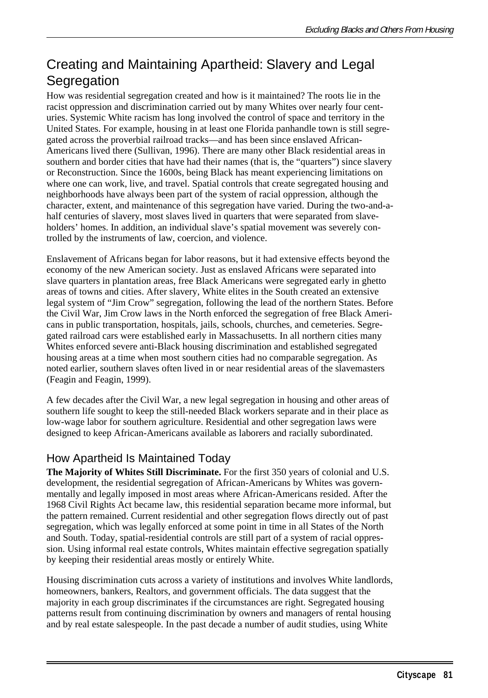# Creating and Maintaining Apartheid: Slavery and Legal **Segregation**

How was residential segregation created and how is it maintained? The roots lie in the racist oppression and discrimination carried out by many Whites over nearly four centuries. Systemic White racism has long involved the control of space and territory in the United States. For example, housing in at least one Florida panhandle town is still segregated across the proverbial railroad tracks—and has been since enslaved African-Americans lived there (Sullivan, 1996). There are many other Black residential areas in southern and border cities that have had their names (that is, the "quarters") since slavery or Reconstruction. Since the 1600s, being Black has meant experiencing limitations on where one can work, live, and travel. Spatial controls that create segregated housing and neighborhoods have always been part of the system of racial oppression, although the character, extent, and maintenance of this segregation have varied. During the two-and-ahalf centuries of slavery, most slaves lived in quarters that were separated from slaveholders' homes. In addition, an individual slave's spatial movement was severely controlled by the instruments of law, coercion, and violence.

Enslavement of Africans began for labor reasons, but it had extensive effects beyond the economy of the new American society. Just as enslaved Africans were separated into slave quarters in plantation areas, free Black Americans were segregated early in ghetto areas of towns and cities. After slavery, White elites in the South created an extensive legal system of "Jim Crow" segregation, following the lead of the northern States. Before the Civil War, Jim Crow laws in the North enforced the segregation of free Black Americans in public transportation, hospitals, jails, schools, churches, and cemeteries. Segregated railroad cars were established early in Massachusetts. In all northern cities many Whites enforced severe anti-Black housing discrimination and established segregated housing areas at a time when most southern cities had no comparable segregation. As noted earlier, southern slaves often lived in or near residential areas of the slavemasters (Feagin and Feagin, 1999).

A few decades after the Civil War, a new legal segregation in housing and other areas of southern life sought to keep the still-needed Black workers separate and in their place as low-wage labor for southern agriculture. Residential and other segregation laws were designed to keep African-Americans available as laborers and racially subordinated.

## How Apartheid Is Maintained Today

**The Majority of Whites Still Discriminate.** For the first 350 years of colonial and U.S. development, the residential segregation of African-Americans by Whites was governmentally and legally imposed in most areas where African-Americans resided. After the 1968 Civil Rights Act became law, this residential separation became more informal, but the pattern remained. Current residential and other segregation flows directly out of past segregation, which was legally enforced at some point in time in all States of the North and South. Today, spatial-residential controls are still part of a system of racial oppression. Using informal real estate controls, Whites maintain effective segregation spatially by keeping their residential areas mostly or entirely White.

Housing discrimination cuts across a variety of institutions and involves White landlords, homeowners, bankers, Realtors, and government officials. The data suggest that the majority in each group discriminates if the circumstances are right. Segregated housing patterns result from continuing discrimination by owners and managers of rental housing and by real estate salespeople. In the past decade a number of audit studies, using White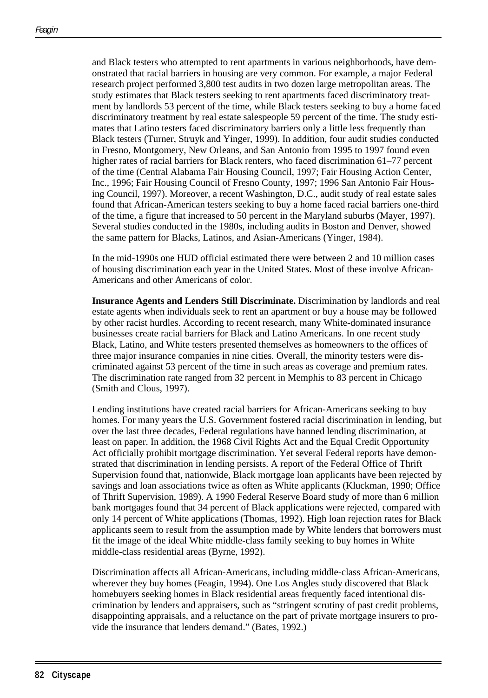and Black testers who attempted to rent apartments in various neighborhoods, have demonstrated that racial barriers in housing are very common. For example, a major Federal research project performed 3,800 test audits in two dozen large metropolitan areas. The study estimates that Black testers seeking to rent apartments faced discriminatory treatment by landlords 53 percent of the time, while Black testers seeking to buy a home faced discriminatory treatment by real estate salespeople 59 percent of the time. The study estimates that Latino testers faced discriminatory barriers only a little less frequently than Black testers (Turner, Struyk and Yinger, 1999). In addition, four audit studies conducted in Fresno, Montgomery, New Orleans, and San Antonio from 1995 to 1997 found even higher rates of racial barriers for Black renters, who faced discrimination 61–77 percent of the time (Central Alabama Fair Housing Council, 1997; Fair Housing Action Center, Inc., 1996; Fair Housing Council of Fresno County, 1997; 1996 San Antonio Fair Housing Council, 1997). Moreover, a recent Washington, D.C., audit study of real estate sales found that African-American testers seeking to buy a home faced racial barriers one-third of the time, a figure that increased to 50 percent in the Maryland suburbs (Mayer, 1997). Several studies conducted in the 1980s, including audits in Boston and Denver, showed the same pattern for Blacks, Latinos, and Asian-Americans (Yinger, 1984).

In the mid-1990s one HUD official estimated there were between 2 and 10 million cases of housing discrimination each year in the United States. Most of these involve African-Americans and other Americans of color.

**Insurance Agents and Lenders Still Discriminate.** Discrimination by landlords and real estate agents when individuals seek to rent an apartment or buy a house may be followed by other racist hurdles. According to recent research, many White-dominated insurance businesses create racial barriers for Black and Latino Americans. In one recent study Black, Latino, and White testers presented themselves as homeowners to the offices of three major insurance companies in nine cities. Overall, the minority testers were discriminated against 53 percent of the time in such areas as coverage and premium rates. The discrimination rate ranged from 32 percent in Memphis to 83 percent in Chicago (Smith and Clous, 1997).

Lending institutions have created racial barriers for African-Americans seeking to buy homes. For many years the U.S. Government fostered racial discrimination in lending, but over the last three decades, Federal regulations have banned lending discrimination, at least on paper. In addition, the 1968 Civil Rights Act and the Equal Credit Opportunity Act officially prohibit mortgage discrimination. Yet several Federal reports have demonstrated that discrimination in lending persists. A report of the Federal Office of Thrift Supervision found that, nationwide, Black mortgage loan applicants have been rejected by savings and loan associations twice as often as White applicants (Kluckman, 1990; Office of Thrift Supervision, 1989). A 1990 Federal Reserve Board study of more than 6 million bank mortgages found that 34 percent of Black applications were rejected, compared with only 14 percent of White applications (Thomas, 1992). High loan rejection rates for Black applicants seem to result from the assumption made by White lenders that borrowers must fit the image of the ideal White middle-class family seeking to buy homes in White middle-class residential areas (Byrne, 1992).

Discrimination affects all African-Americans, including middle-class African-Americans, wherever they buy homes (Feagin, 1994). One Los Angles study discovered that Black homebuyers seeking homes in Black residential areas frequently faced intentional discrimination by lenders and appraisers, such as "stringent scrutiny of past credit problems, disappointing appraisals, and a reluctance on the part of private mortgage insurers to provide the insurance that lenders demand." (Bates, 1992.)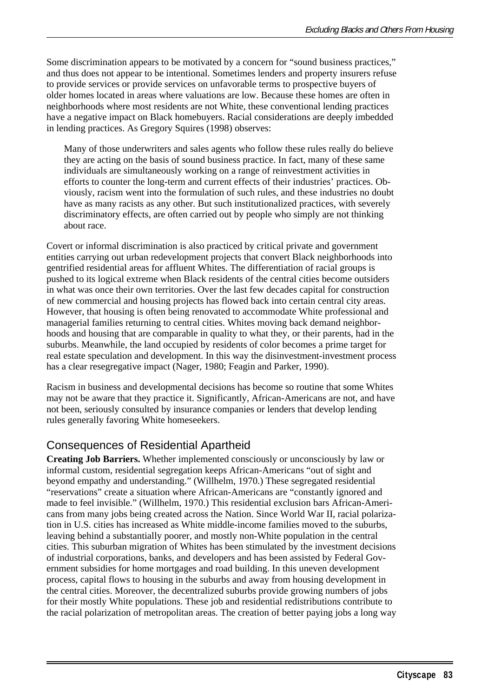Some discrimination appears to be motivated by a concern for "sound business practices," and thus does not appear to be intentional. Sometimes lenders and property insurers refuse to provide services or provide services on unfavorable terms to prospective buyers of older homes located in areas where valuations are low. Because these homes are often in neighborhoods where most residents are not White, these conventional lending practices have a negative impact on Black homebuyers. Racial considerations are deeply imbedded in lending practices. As Gregory Squires (1998) observes:

Many of those underwriters and sales agents who follow these rules really do believe they are acting on the basis of sound business practice. In fact, many of these same individuals are simultaneously working on a range of reinvestment activities in efforts to counter the long-term and current effects of their industries' practices. Obviously, racism went into the formulation of such rules, and these industries no doubt have as many racists as any other. But such institutionalized practices, with severely discriminatory effects, are often carried out by people who simply are not thinking about race.

Covert or informal discrimination is also practiced by critical private and government entities carrying out urban redevelopment projects that convert Black neighborhoods into gentrified residential areas for affluent Whites. The differentiation of racial groups is pushed to its logical extreme when Black residents of the central cities become outsiders in what was once their own territories. Over the last few decades capital for construction of new commercial and housing projects has flowed back into certain central city areas. However, that housing is often being renovated to accommodate White professional and managerial families returning to central cities. Whites moving back demand neighborhoods and housing that are comparable in quality to what they, or their parents, had in the suburbs. Meanwhile, the land occupied by residents of color becomes a prime target for real estate speculation and development. In this way the disinvestment-investment process has a clear resegregative impact (Nager, 1980; Feagin and Parker, 1990).

Racism in business and developmental decisions has become so routine that some Whites may not be aware that they practice it. Significantly, African-Americans are not, and have not been, seriously consulted by insurance companies or lenders that develop lending rules generally favoring White homeseekers.

#### Consequences of Residential Apartheid

**Creating Job Barriers.** Whether implemented consciously or unconsciously by law or informal custom, residential segregation keeps African-Americans "out of sight and beyond empathy and understanding." (Willhelm, 1970.) These segregated residential "reservations" create a situation where African-Americans are "constantly ignored and made to feel invisible." (Willhelm, 1970.) This residential exclusion bars African-Americans from many jobs being created across the Nation. Since World War II, racial polarization in U.S. cities has increased as White middle-income families moved to the suburbs, leaving behind a substantially poorer, and mostly non-White population in the central cities. This suburban migration of Whites has been stimulated by the investment decisions of industrial corporations, banks, and developers and has been assisted by Federal Government subsidies for home mortgages and road building. In this uneven development process, capital flows to housing in the suburbs and away from housing development in the central cities. Moreover, the decentralized suburbs provide growing numbers of jobs for their mostly White populations. These job and residential redistributions contribute to the racial polarization of metropolitan areas. The creation of better paying jobs a long way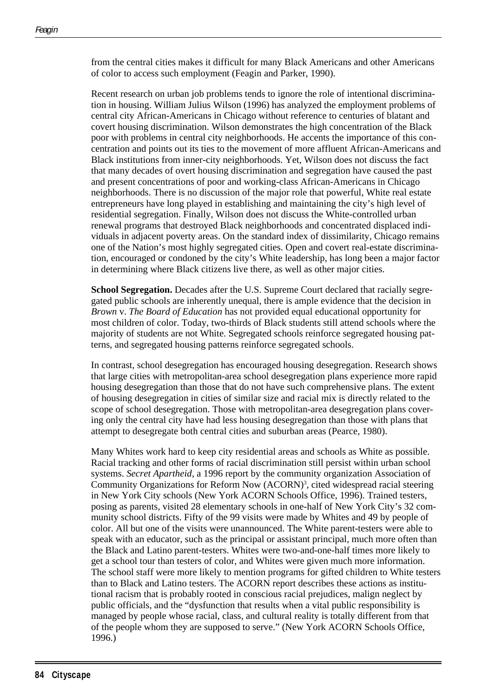from the central cities makes it difficult for many Black Americans and other Americans of color to access such employment (Feagin and Parker, 1990).

Recent research on urban job problems tends to ignore the role of intentional discrimination in housing. William Julius Wilson (1996) has analyzed the employment problems of central city African-Americans in Chicago without reference to centuries of blatant and covert housing discrimination. Wilson demonstrates the high concentration of the Black poor with problems in central city neighborhoods. He accents the importance of this concentration and points out its ties to the movement of more affluent African-Americans and Black institutions from inner-city neighborhoods. Yet, Wilson does not discuss the fact that many decades of overt housing discrimination and segregation have caused the past and present concentrations of poor and working-class African-Americans in Chicago neighborhoods. There is no discussion of the major role that powerful, White real estate entrepreneurs have long played in establishing and maintaining the city's high level of residential segregation. Finally, Wilson does not discuss the White-controlled urban renewal programs that destroyed Black neighborhoods and concentrated displaced individuals in adjacent poverty areas. On the standard index of dissimilarity, Chicago remains one of the Nation's most highly segregated cities. Open and covert real-estate discrimination, encouraged or condoned by the city's White leadership, has long been a major factor in determining where Black citizens live there, as well as other major cities.

**School Segregation.** Decades after the U.S. Supreme Court declared that racially segregated public schools are inherently unequal, there is ample evidence that the decision in *Brown* v. *The Board of Education* has not provided equal educational opportunity for most children of color. Today, two-thirds of Black students still attend schools where the majority of students are not White. Segregated schools reinforce segregated housing patterns, and segregated housing patterns reinforce segregated schools.

In contrast, school desegregation has encouraged housing desegregation. Research shows that large cities with metropolitan-area school desegregation plans experience more rapid housing desegregation than those that do not have such comprehensive plans. The extent of housing desegregation in cities of similar size and racial mix is directly related to the scope of school desegregation. Those with metropolitan-area desegregation plans covering only the central city have had less housing desegregation than those with plans that attempt to desegregate both central cities and suburban areas (Pearce, 1980).

Many Whites work hard to keep city residential areas and schools as White as possible. Racial tracking and other forms of racial discrimination still persist within urban school systems. *Secret Apartheid*, a 1996 report by the community organization Association of Community Organizations for Reform Now (ACORN)<sup>3</sup>, cited widespread racial steering in New York City schools (New York ACORN Schools Office, 1996). Trained testers, posing as parents, visited 28 elementary schools in one-half of New York City's 32 community school districts. Fifty of the 99 visits were made by Whites and 49 by people of color. All but one of the visits were unannounced. The White parent-testers were able to speak with an educator, such as the principal or assistant principal, much more often than the Black and Latino parent-testers. Whites were two-and-one-half times more likely to get a school tour than testers of color, and Whites were given much more information. The school staff were more likely to mention programs for gifted children to White testers than to Black and Latino testers. The ACORN report describes these actions as institutional racism that is probably rooted in conscious racial prejudices, malign neglect by public officials, and the "dysfunction that results when a vital public responsibility is managed by people whose racial, class, and cultural reality is totally different from that of the people whom they are supposed to serve." (New York ACORN Schools Office, 1996.)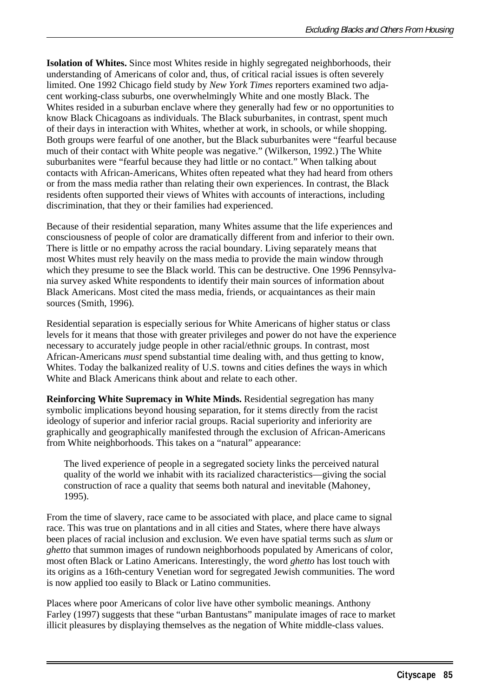**Isolation of Whites.** Since most Whites reside in highly segregated neighborhoods, their understanding of Americans of color and, thus, of critical racial issues is often severely limited. One 1992 Chicago field study by *New York Times* reporters examined two adjacent working-class suburbs, one overwhelmingly White and one mostly Black. The Whites resided in a suburban enclave where they generally had few or no opportunities to know Black Chicagoans as individuals. The Black suburbanites, in contrast, spent much of their days in interaction with Whites, whether at work, in schools, or while shopping. Both groups were fearful of one another, but the Black suburbanites were "fearful because much of their contact with White people was negative." (Wilkerson, 1992.) The White suburbanites were "fearful because they had little or no contact." When talking about contacts with African-Americans, Whites often repeated what they had heard from others or from the mass media rather than relating their own experiences. In contrast, the Black residents often supported their views of Whites with accounts of interactions, including discrimination, that they or their families had experienced.

Because of their residential separation, many Whites assume that the life experiences and consciousness of people of color are dramatically different from and inferior to their own. There is little or no empathy across the racial boundary. Living separately means that most Whites must rely heavily on the mass media to provide the main window through which they presume to see the Black world. This can be destructive. One 1996 Pennsylvania survey asked White respondents to identify their main sources of information about Black Americans. Most cited the mass media, friends, or acquaintances as their main sources (Smith, 1996).

Residential separation is especially serious for White Americans of higher status or class levels for it means that those with greater privileges and power do not have the experience necessary to accurately judge people in other racial/ethnic groups. In contrast, most African-Americans *must* spend substantial time dealing with, and thus getting to know, Whites. Today the balkanized reality of U.S. towns and cities defines the ways in which White and Black Americans think about and relate to each other.

**Reinforcing White Supremacy in White Minds.** Residential segregation has many symbolic implications beyond housing separation, for it stems directly from the racist ideology of superior and inferior racial groups. Racial superiority and inferiority are graphically and geographically manifested through the exclusion of African-Americans from White neighborhoods. This takes on a "natural" appearance:

The lived experience of people in a segregated society links the perceived natural quality of the world we inhabit with its racialized characteristics—giving the social construction of race a quality that seems both natural and inevitable (Mahoney, 1995).

From the time of slavery, race came to be associated with place, and place came to signal race. This was true on plantations and in all cities and States, where there have always been places of racial inclusion and exclusion. We even have spatial terms such as *slum* or *ghetto* that summon images of rundown neighborhoods populated by Americans of color, most often Black or Latino Americans. Interestingly, the word *ghetto* has lost touch with its origins as a 16th-century Venetian word for segregated Jewish communities. The word is now applied too easily to Black or Latino communities.

Places where poor Americans of color live have other symbolic meanings. Anthony Farley (1997) suggests that these "urban Bantustans" manipulate images of race to market illicit pleasures by displaying themselves as the negation of White middle-class values.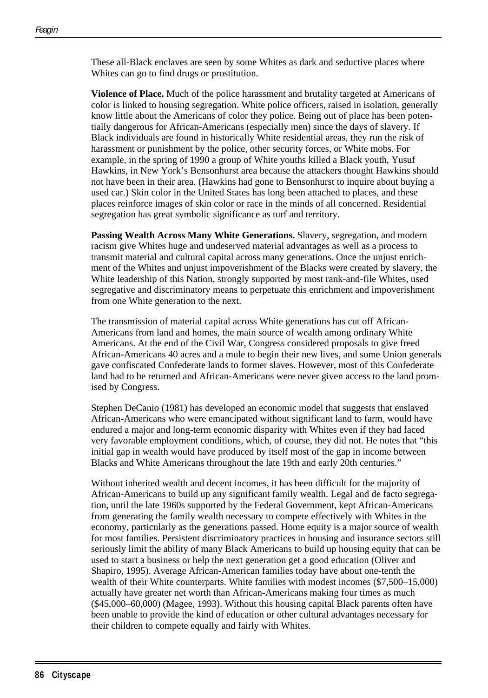These all-Black enclaves are seen by some Whites as dark and seductive places where Whites can go to find drugs or prostitution.

**Violence of Place.** Much of the police harassment and brutality targeted at Americans of color is linked to housing segregation. White police officers, raised in isolation, generally know little about the Americans of color they police. Being out of place has been potentially dangerous for African-Americans (especially men) since the days of slavery. If Black individuals are found in historically White residential areas, they run the risk of harassment or punishment by the police, other security forces, or White mobs. For example, in the spring of 1990 a group of White youths killed a Black youth, Yusuf Hawkins, in New York's Bensonhurst area because the attackers thought Hawkins should not have been in their area. (Hawkins had gone to Bensonhurst to inquire about buying a used car.) Skin color in the United States has long been attached to places, and these places reinforce images of skin color or race in the minds of all concerned. Residential segregation has great symbolic significance as turf and territory.

**Passing Wealth Across Many White Generations.** Slavery, segregation, and modern racism give Whites huge and undeserved material advantages as well as a process to transmit material and cultural capital across many generations. Once the unjust enrichment of the Whites and unjust impoverishment of the Blacks were created by slavery, the White leadership of this Nation, strongly supported by most rank-and-file Whites, used segregative and discriminatory means to perpetuate this enrichment and impoverishment from one White generation to the next.

The transmission of material capital across White generations has cut off African-Americans from land and homes, the main source of wealth among ordinary White Americans. At the end of the Civil War, Congress considered proposals to give freed African-Americans 40 acres and a mule to begin their new lives, and some Union generals gave confiscated Confederate lands to former slaves. However, most of this Confederate land had to be returned and African-Americans were never given access to the land promised by Congress.

Stephen DeCanio (1981) has developed an economic model that suggests that enslaved African-Americans who were emancipated without significant land to farm, would have endured a major and long-term economic disparity with Whites even if they had faced very favorable employment conditions, which, of course, they did not. He notes that "this initial gap in wealth would have produced by itself most of the gap in income between Blacks and White Americans throughout the late 19th and early 20th centuries."

Without inherited wealth and decent incomes, it has been difficult for the majority of African-Americans to build up any significant family wealth. Legal and de facto segregation, until the late 1960s supported by the Federal Government, kept African-Americans from generating the family wealth necessary to compete effectively with Whites in the economy, particularly as the generations passed. Home equity is a major source of wealth for most families. Persistent discriminatory practices in housing and insurance sectors still seriously limit the ability of many Black Americans to build up housing equity that can be used to start a business or help the next generation get a good education (Oliver and Shapiro, 1995). Average African-American families today have about one-tenth the wealth of their White counterparts. White families with modest incomes (\$7,500–15,000) actually have greater net worth than African-Americans making four times as much (\$45,000–60,000) (Magee, 1993). Without this housing capital Black parents often have been unable to provide the kind of education or other cultural advantages necessary for their children to compete equally and fairly with Whites.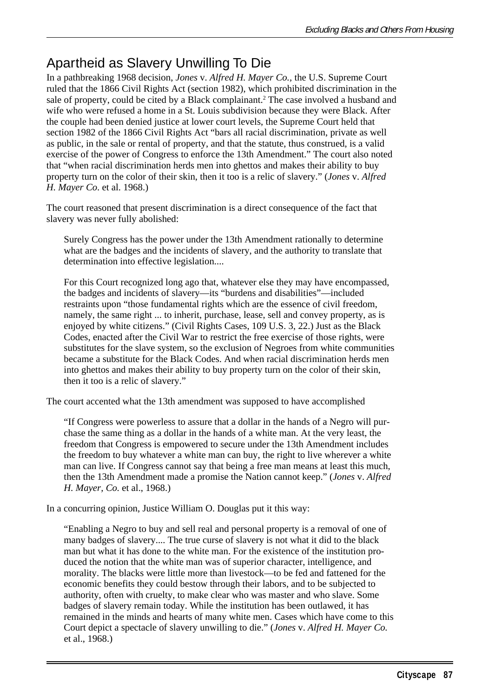# Apartheid as Slavery Unwilling To Die

In a pathbreaking 1968 decision, *Jones* v. *Alfred H. Mayer Co.,* the U.S. Supreme Court ruled that the 1866 Civil Rights Act (section 1982), which prohibited discrimination in the sale of property, could be cited by a Black complainant.<sup>2</sup> The case involved a husband and wife who were refused a home in a St. Louis subdivision because they were Black. After the couple had been denied justice at lower court levels, the Supreme Court held that section 1982 of the 1866 Civil Rights Act "bars all racial discrimination, private as well as public, in the sale or rental of property, and that the statute, thus construed, is a valid exercise of the power of Congress to enforce the 13th Amendment." The court also noted that "when racial discrimination herds men into ghettos and makes their ability to buy property turn on the color of their skin, then it too is a relic of slavery." (*Jones* v. *Alfred H. Mayer Co*. et al. 1968.)

The court reasoned that present discrimination is a direct consequence of the fact that slavery was never fully abolished:

Surely Congress has the power under the 13th Amendment rationally to determine what are the badges and the incidents of slavery, and the authority to translate that determination into effective legislation....

For this Court recognized long ago that, whatever else they may have encompassed, the badges and incidents of slavery—its "burdens and disabilities"—included restraints upon "those fundamental rights which are the essence of civil freedom, namely, the same right ... to inherit, purchase, lease, sell and convey property, as is enjoyed by white citizens." (Civil Rights Cases, 109 U.S. 3, 22.) Just as the Black Codes, enacted after the Civil War to restrict the free exercise of those rights, were substitutes for the slave system, so the exclusion of Negroes from white communities became a substitute for the Black Codes. And when racial discrimination herds men into ghettos and makes their ability to buy property turn on the color of their skin, then it too is a relic of slavery."

The court accented what the 13th amendment was supposed to have accomplished

"If Congress were powerless to assure that a dollar in the hands of a Negro will purchase the same thing as a dollar in the hands of a white man. At the very least, the freedom that Congress is empowered to secure under the 13th Amendment includes the freedom to buy whatever a white man can buy, the right to live wherever a white man can live. If Congress cannot say that being a free man means at least this much, then the 13th Amendment made a promise the Nation cannot keep." (*Jones* v. *Alfred H. Mayer, Co.* et al., 1968.)

In a concurring opinion, Justice William O. Douglas put it this way:

"Enabling a Negro to buy and sell real and personal property is a removal of one of many badges of slavery.... The true curse of slavery is not what it did to the black man but what it has done to the white man. For the existence of the institution produced the notion that the white man was of superior character, intelligence, and morality. The blacks were little more than livestock—to be fed and fattened for the economic benefits they could bestow through their labors, and to be subjected to authority, often with cruelty, to make clear who was master and who slave. Some badges of slavery remain today. While the institution has been outlawed, it has remained in the minds and hearts of many white men. Cases which have come to this Court depict a spectacle of slavery unwilling to die." (*Jones* v. *Alfred H. Mayer Co.* et al., 1968.)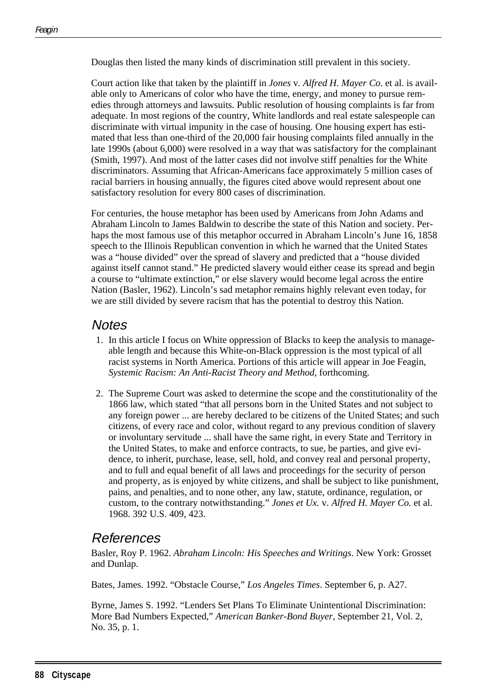Douglas then listed the many kinds of discrimination still prevalent in this society.

Court action like that taken by the plaintiff in *Jones* v*. Alfred H. Mayer Co*. et al. is available only to Americans of color who have the time, energy, and money to pursue remedies through attorneys and lawsuits. Public resolution of housing complaints is far from adequate. In most regions of the country, White landlords and real estate salespeople can discriminate with virtual impunity in the case of housing. One housing expert has estimated that less than one-third of the 20,000 fair housing complaints filed annually in the late 1990s (about 6,000) were resolved in a way that was satisfactory for the complainant (Smith, 1997). And most of the latter cases did not involve stiff penalties for the White discriminators. Assuming that African-Americans face approximately 5 million cases of racial barriers in housing annually, the figures cited above would represent about one satisfactory resolution for every 800 cases of discrimination.

For centuries, the house metaphor has been used by Americans from John Adams and Abraham Lincoln to James Baldwin to describe the state of this Nation and society. Perhaps the most famous use of this metaphor occurred in Abraham Lincoln's June 16, 1858 speech to the Illinois Republican convention in which he warned that the United States was a "house divided" over the spread of slavery and predicted that a "house divided against itself cannot stand." He predicted slavery would either cease its spread and begin a course to "ultimate extinction," or else slavery would become legal across the entire Nation (Basler, 1962). Lincoln's sad metaphor remains highly relevant even today, for we are still divided by severe racism that has the potential to destroy this Nation.

## **Notes**

- 1. In this article I focus on White oppression of Blacks to keep the analysis to manageable length and because this White-on-Black oppression is the most typical of all racist systems in North America. Portions of this article will appear in Joe Feagin, *Systemic Racism: An Anti-Racist Theory and Method*, forthcoming.
- 2. The Supreme Court was asked to determine the scope and the constitutionality of the 1866 law, which stated "that all persons born in the United States and not subject to any foreign power ... are hereby declared to be citizens of the United States; and such citizens, of every race and color, without regard to any previous condition of slavery or involuntary servitude ... shall have the same right, in every State and Territory in the United States, to make and enforce contracts, to sue, be parties, and give evidence, to inherit, purchase, lease, sell, hold, and convey real and personal property, and to full and equal benefit of all laws and proceedings for the security of person and property, as is enjoyed by white citizens, and shall be subject to like punishment, pains, and penalties, and to none other, any law, statute, ordinance, regulation, or custom, to the contrary notwithstanding." *Jones et Ux.* v. *Alfred H. Mayer Co.* et al. 1968. 392 U.S. 409, 423.

## References

Basler, Roy P. 1962. *Abraham Lincoln: His Speeches and Writings*. New York: Grosset and Dunlap.

Bates, James. 1992. "Obstacle Course," *Los Angeles Times*. September 6, p. A27.

Byrne, James S. 1992. "Lenders Set Plans To Eliminate Unintentional Discrimination: More Bad Numbers Expected," *American Banker-Bond Buyer*, September 21, Vol. 2, No. 35, p. 1.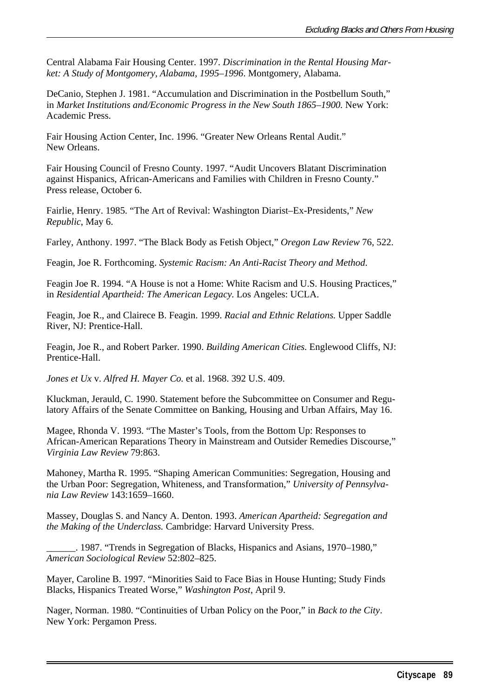Central Alabama Fair Housing Center. 1997. *Discrimination in the Rental Housing Market: A Study of Montgomery, Alabama, 1995–1996*. Montgomery, Alabama.

DeCanio, Stephen J. 1981. "Accumulation and Discrimination in the Postbellum South," in *Market Institutions and/Economic Progress in the New South 1865–1900.* New York: Academic Press.

Fair Housing Action Center, Inc. 1996. "Greater New Orleans Rental Audit." New Orleans.

Fair Housing Council of Fresno County. 1997. "Audit Uncovers Blatant Discrimination against Hispanics, African-Americans and Families with Children in Fresno County." Press release, October 6.

Fairlie, Henry. 1985. "The Art of Revival: Washington Diarist–Ex-Presidents," *New Republic*, May 6.

Farley, Anthony. 1997. "The Black Body as Fetish Object," *Oregon Law Review* 76, 522.

Feagin, Joe R. Forthcoming. *Systemic Racism: An Anti-Racist Theory and Method*.

Feagin Joe R. 1994. "A House is not a Home: White Racism and U.S. Housing Practices," in *Residential Apartheid: The American Legacy.* Los Angeles: UCLA.

Feagin, Joe R., and Clairece B. Feagin. 1999. *Racial and Ethnic Relations.* Upper Saddle River, NJ: Prentice-Hall.

Feagin, Joe R., and Robert Parker. 1990. *Building American Cities.* Englewood Cliffs, NJ: Prentice-Hall.

*Jones et Ux* v. *Alfred H. Mayer Co.* et al. 1968. 392 U.S. 409.

Kluckman, Jerauld, C. 1990. Statement before the Subcommittee on Consumer and Regulatory Affairs of the Senate Committee on Banking, Housing and Urban Affairs, May 16.

Magee, Rhonda V. 1993. "The Master's Tools, from the Bottom Up: Responses to African-American Reparations Theory in Mainstream and Outsider Remedies Discourse," *Virginia Law Review* 79:863.

Mahoney, Martha R. 1995. "Shaping American Communities: Segregation, Housing and the Urban Poor: Segregation, Whiteness, and Transformation," *University of Pennsylvania Law Review* 143:1659–1660.

Massey, Douglas S. and Nancy A. Denton. 1993. *American Apartheid: Segregation and the Making of the Underclass.* Cambridge: Harvard University Press.

\_\_\_\_\_\_. 1987. "Trends in Segregation of Blacks, Hispanics and Asians, 1970–1980," *American Sociological Review* 52:802–825.

Mayer, Caroline B. 1997. "Minorities Said to Face Bias in House Hunting; Study Finds Blacks, Hispanics Treated Worse," *Washington Post*, April 9.

Nager, Norman. 1980. "Continuities of Urban Policy on the Poor," in *Back to the City*. New York: Pergamon Press.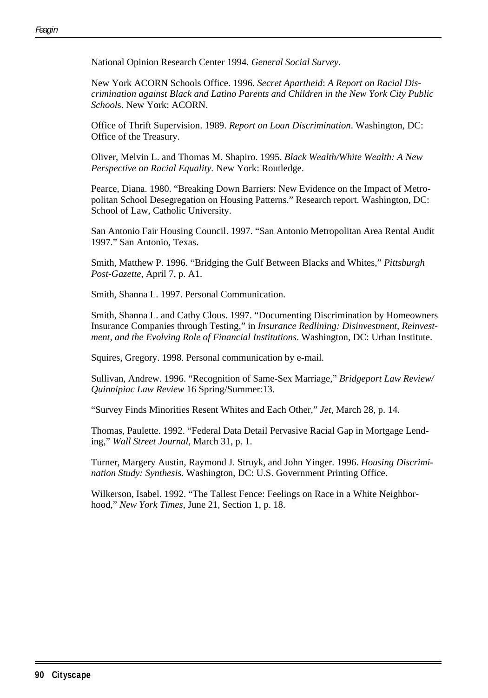National Opinion Research Center 1994. *General Social Survey*.

New York ACORN Schools Office. 1996. *Secret Apartheid*: *A Report on Racial Discrimination against Black and Latino Parents and Children in the New York City Public School*s. New York: ACORN.

Office of Thrift Supervision. 1989. *Report on Loan Discrimination*. Washington, DC: Office of the Treasury.

Oliver, Melvin L. and Thomas M. Shapiro. 1995. *Black Wealth/White Wealth: A New Perspective on Racial Equality.* New York: Routledge.

Pearce, Diana. 1980. "Breaking Down Barriers: New Evidence on the Impact of Metropolitan School Desegregation on Housing Patterns." Research report. Washington, DC: School of Law, Catholic University.

San Antonio Fair Housing Council. 1997. "San Antonio Metropolitan Area Rental Audit 1997." San Antonio, Texas.

Smith, Matthew P. 1996. "Bridging the Gulf Between Blacks and Whites," *Pittsburgh Post-Gazette*, April 7, p. A1.

Smith, Shanna L. 1997. Personal Communication.

Smith, Shanna L. and Cathy Clous. 1997. "Documenting Discrimination by Homeowners Insurance Companies through Testing," in *Insurance Redlining: Disinvestment, Reinvestment, and the Evolving Role of Financial Institutions*. Washington, DC: Urban Institute.

Squires, Gregory. 1998. Personal communication by e-mail.

Sullivan, Andrew. 1996. "Recognition of Same-Sex Marriage," *Bridgeport Law Review/ Quinnipiac Law Review* 16 Spring/Summer:13.

"Survey Finds Minorities Resent Whites and Each Other," *Jet*, March 28, p. 14.

Thomas, Paulette. 1992. "Federal Data Detail Pervasive Racial Gap in Mortgage Lending," *Wall Street Journal*, March 31, p. 1.

Turner, Margery Austin, Raymond J. Struyk, and John Yinger. 1996. *Housing Discrimination Study: Synthesis*. Washington, DC: U.S. Government Printing Office.

Wilkerson, Isabel. 1992. "The Tallest Fence: Feelings on Race in a White Neighborhood," *New York Times*, June 21, Section 1, p. 18.